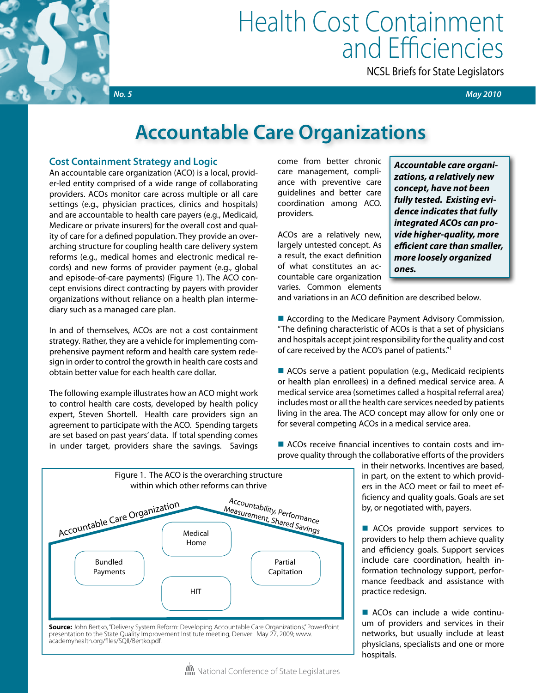

# Health Cost Containment and Efficiencies

NCSL Briefs for State Legislators

 *No. 5 May 2010*

# **Accountable Care Organizations**

### **Cost Containment Strategy and Logic**

An accountable care organization (ACO) is a local, provider-led entity comprised of a wide range of collaborating providers. ACOs monitor care across multiple or all care settings (e.g., physician practices, clinics and hospitals) and are accountable to health care payers (e.g., Medicaid, Medicare or private insurers) for the overall cost and quality of care for a defined population. They provide an overarching structure for coupling health care delivery system reforms (e.g., medical homes and electronic medical records) and new forms of provider payment (e.g., global and episode-of-care payments) (Figure 1). The ACO concept envisions direct contracting by payers with provider organizations without reliance on a health plan intermediary such as a managed care plan.

In and of themselves, ACOs are not a cost containment strategy. Rather, they are a vehicle for implementing comprehensive payment reform and health care system redesign in order to control the growth in health care costs and obtain better value for each health care dollar.

The following example illustrates how an ACO might work to control health care costs, developed by health policy expert, Steven Shortell. Health care providers sign an agreement to participate with the ACO. Spending targets are set based on past years' data. If total spending comes in under target, providers share the savings. Savings

come from better chronic care management, compliance with preventive care guidelines and better care coordination among ACO. providers.

ACOs are a relatively new, largely untested concept. As a result, the exact definition of what constitutes an accountable care organization varies. Common elements

*Accountable care organizations, a relatively new concept, have not been fully tested. Existing evidence indicates that fully integrated ACOs can provide higher-quality, more efficient care than smaller, more loosely organized ones.*

and variations in an ACO definition are described below.

 $\blacksquare$  According to the Medicare Payment Advisory Commission, "The defining characteristic of ACOs is that a set of physicians and hospitals accept joint responsibility for the quality and cost of care received by the ACO's panel of patients."1

 $\blacksquare$  ACOs serve a patient population (e.g., Medicaid recipients or health plan enrollees) in a defined medical service area. A medical service area (sometimes called a hospital referral area) includes most or all the health care services needed by patients living in the area. The ACO concept may allow for only one or for several competing ACOs in a medical service area.

 $\blacksquare$  ACOs receive financial incentives to contain costs and improve quality through the collaborative efforts of the providers

> in their networks. Incentives are based, in part, on the extent to which providers in the ACO meet or fail to meet efficiency and quality goals. Goals are set by, or negotiated with, payers.

> $\blacksquare$  ACOs provide support services to providers to help them achieve quality and efficiency goals. Support services include care coordination, health information technology support, performance feedback and assistance with practice redesign.

> ■ ACOs can include a wide continuum of providers and services in their networks, but usually include at least physicians, specialists and one or more hospitals.



presentation to the State Quality Improvement Institute meeting, Denver: May 27, 2009; www. academyhealth.org/files/SQII/Bertko.pdf.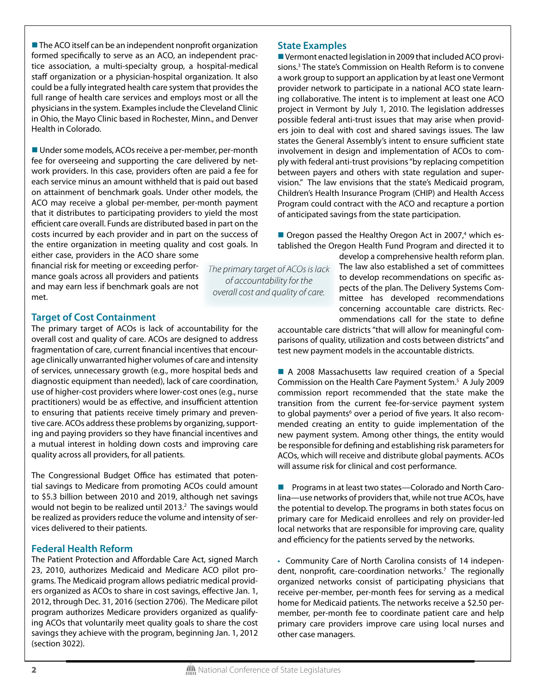$\blacksquare$  The ACO itself can be an independent nonprofit organization formed specifically to serve as an ACO, an independent practice association, a multi-specialty group, a hospital-medical staff organization or a physician-hospital organization. It also could be a fully integrated health care system that provides the full range of health care services and employs most or all the physicians in the system. Examples include the Cleveland Clinic in Ohio, the Mayo Clinic based in Rochester, Minn., and Denver Health in Colorado.

 $\blacksquare$  Under some models, ACOs receive a per-member, per-month fee for overseeing and supporting the care delivered by network providers. In this case, providers often are paid a fee for each service minus an amount withheld that is paid out based on attainment of benchmark goals. Under other models, the ACO may receive a global per-member, per-month payment that it distributes to participating providers to yield the most efficient care overall. Funds are distributed based in part on the costs incurred by each provider and in part on the success of the entire organization in meeting quality and cost goals. In either case, providers in the ACO share some

financial risk for meeting or exceeding performance goals across all providers and patients and may earn less if benchmark goals are not met.

*The primary target of ACOs is lack of accountability for the overall cost and quality of care.*

## **Target of Cost Containment**

The primary target of ACOs is lack of accountability for the overall cost and quality of care. ACOs are designed to address fragmentation of care, current financial incentives that encourage clinically unwarranted higher volumes of care and intensity of services, unnecessary growth (e.g., more hospital beds and diagnostic equipment than needed), lack of care coordination, use of higher-cost providers where lower-cost ones (e.g., nurse practitioners) would be as effective, and insufficient attention to ensuring that patients receive timely primary and preventive care. ACOs address these problems by organizing, supporting and paying providers so they have financial incentives and a mutual interest in holding down costs and improving care quality across all providers, for all patients.

The Congressional Budget Office has estimated that potential savings to Medicare from promoting ACOs could amount to \$5.3 billion between 2010 and 2019, although net savings would not begin to be realized until 2013. $2$  The savings would be realized as providers reduce the volume and intensity of services delivered to their patients.

#### **Federal Health Reform**

The Patient Protection and Affordable Care Act, signed March 23, 2010, authorizes Medicaid and Medicare ACO pilot programs. The Medicaid program allows pediatric medical providers organized as ACOs to share in cost savings, effective Jan. 1, 2012, through Dec. 31, 2016 (section 2706). The Medicare pilot program authorizes Medicare providers organized as qualifying ACOs that voluntarily meet quality goals to share the cost savings they achieve with the program, beginning Jan. 1, 2012 (section 3022).

#### **State Examples**

 $\blacksquare$  Vermont enacted legislation in 2009 that included ACO provisions.3 The state's Commission on Health Reform is to convene a work group to support an application by at least one Vermont provider network to participate in a national ACO state learning collaborative. The intent is to implement at least one ACO project in Vermont by July 1, 2010. The legislation addresses possible federal anti-trust issues that may arise when providers join to deal with cost and shared savings issues. The law states the General Assembly's intent to ensure sufficient state involvement in design and implementation of ACOs to comply with federal anti-trust provisions "by replacing competition between payers and others with state regulation and supervision." The law envisions that the state's Medicaid program, Children's Health Insurance Program (CHIP) and Health Access Program could contract with the ACO and recapture a portion of anticipated savings from the state participation.

■ Oregon passed the Healthy Oregon Act in 2007,<sup>4</sup> which established the Oregon Health Fund Program and directed it to

> develop a comprehensive health reform plan. The law also established a set of committees to develop recommendations on specific aspects of the plan. The Delivery Systems Committee has developed recommendations concerning accountable care districts. Recommendations call for the state to define

accountable care districts "that will allow for meaningful comparisons of quality, utilization and costs between districts" and test new payment models in the accountable districts.

■ A 2008 Massachusetts law required creation of a Special Commission on the Health Care Payment System.5 A July 2009 commission report recommended that the state make the transition from the current fee-for-service payment system to global payments<sup>6</sup> over a period of five years. It also recommended creating an entity to guide implementation of the new payment system. Among other things, the entity would be responsible for defining and establishing risk parameters for ACOs, which will receive and distribute global payments. ACOs will assume risk for clinical and cost performance.

■ Programs in at least two states—Colorado and North Carolina—use networks of providers that, while not true ACOs, have the potential to develop. The programs in both states focus on primary care for Medicaid enrollees and rely on provider-led local networks that are responsible for improving care, quality and efficiency for the patients served by the networks.

• Community Care of North Carolina consists of 14 independent, nonprofit, care-coordination networks.<sup>7</sup> The regionally organized networks consist of participating physicians that receive per-member, per-month fees for serving as a medical home for Medicaid patients. The networks receive a \$2.50 permember, per-month fee to coordinate patient care and help primary care providers improve care using local nurses and other case managers.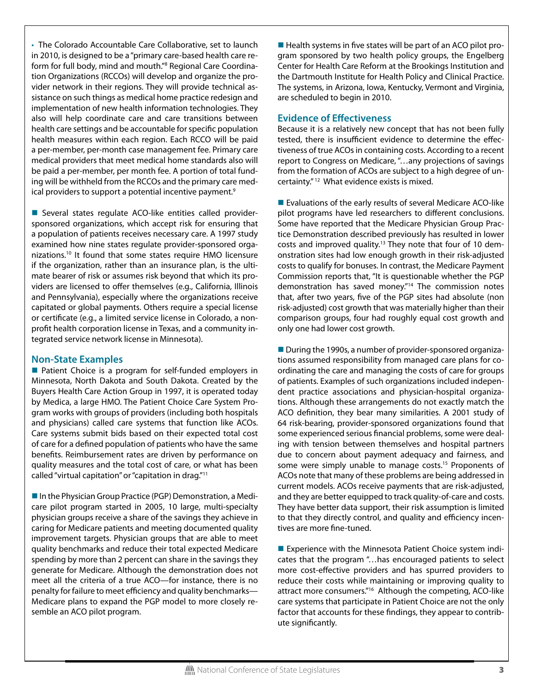• The Colorado Accountable Care Collaborative, set to launch in 2010, is designed to be a "primary care-based health care reform for full body, mind and mouth."<sup>8</sup> Regional Care Coordination Organizations (RCCOs) will develop and organize the provider network in their regions. They will provide technical assistance on such things as medical home practice redesign and implementation of new health information technologies. They also will help coordinate care and care transitions between health care settings and be accountable for specific population health measures within each region. Each RCCO will be paid a per-member, per-month case management fee. Primary care medical providers that meet medical home standards also will be paid a per-member, per month fee. A portion of total funding will be withheld from the RCCOs and the primary care medical providers to support a potential incentive payment.<sup>9</sup>

■ Several states regulate ACO-like entities called providersponsored organizations, which accept risk for ensuring that a population of patients receives necessary care. A 1997 study examined how nine states regulate provider-sponsored organizations.10 It found that some states require HMO licensure if the organization, rather than an insurance plan, is the ultimate bearer of risk or assumes risk beyond that which its providers are licensed to offer themselves (e.g., California, Illinois and Pennsylvania), especially where the organizations receive capitated or global payments. Others require a special license or certificate (e.g., a limited service license in Colorado, a nonprofit health corporation license in Texas, and a community integrated service network license in Minnesota).

#### **Non-State Examples**

■ Patient Choice is a program for self-funded employers in Minnesota, North Dakota and South Dakota. Created by the Buyers Health Care Action Group in 1997, it is operated today by Medica, a large HMO. The Patient Choice Care System Program works with groups of providers (including both hospitals and physicians) called care systems that function like ACOs. Care systems submit bids based on their expected total cost of care for a defined population of patients who have the same benefits. Reimbursement rates are driven by performance on quality measures and the total cost of care, or what has been called "virtual capitation" or "capitation in drag."11

■ In the Physician Group Practice (PGP) Demonstration, a Medicare pilot program started in 2005, 10 large, multi-specialty physician groups receive a share of the savings they achieve in caring for Medicare patients and meeting documented quality improvement targets. Physician groups that are able to meet quality benchmarks and reduce their total expected Medicare spending by more than 2 percent can share in the savings they generate for Medicare. Although the demonstration does not meet all the criteria of a true ACO—for instance, there is no penalty for failure to meet efficiency and quality benchmarks— Medicare plans to expand the PGP model to more closely resemble an ACO pilot program.

 $\blacksquare$  Health systems in five states will be part of an ACO pilot program sponsored by two health policy groups, the Engelberg Center for Health Care Reform at the Brookings Institution and the Dartmouth Institute for Health Policy and Clinical Practice. The systems, in Arizona, Iowa, Kentucky, Vermont and Virginia, are scheduled to begin in 2010.

#### **Evidence of Effectiveness**

Because it is a relatively new concept that has not been fully tested, there is insufficient evidence to determine the effectiveness of true ACOs in containing costs. According to a recent report to Congress on Medicare, "…any projections of savings from the formation of ACOs are subject to a high degree of uncertainty." 12 What evidence exists is mixed.

■ Evaluations of the early results of several Medicare ACO-like pilot programs have led researchers to different conclusions. Some have reported that the Medicare Physician Group Practice Demonstration described previously has resulted in lower costs and improved quality.<sup>13</sup> They note that four of 10 demonstration sites had low enough growth in their risk-adjusted costs to qualify for bonuses. In contrast, the Medicare Payment Commission reports that, "It is questionable whether the PGP demonstration has saved money."14 The commission notes that, after two years, five of the PGP sites had absolute (non risk-adjusted) cost growth that was materially higher than their comparison groups, four had roughly equal cost growth and only one had lower cost growth.

■ During the 1990s, a number of provider-sponsored organizations assumed responsibility from managed care plans for coordinating the care and managing the costs of care for groups of patients. Examples of such organizations included independent practice associations and physician-hospital organizations. Although these arrangements do not exactly match the ACO definition, they bear many similarities. A 2001 study of 64 risk-bearing, provider-sponsored organizations found that some experienced serious financial problems, some were dealing with tension between themselves and hospital partners due to concern about payment adequacy and fairness, and some were simply unable to manage costs.<sup>15</sup> Proponents of ACOs note that many of these problems are being addressed in current models. ACOs receive payments that are risk-adjusted, and they are better equipped to track quality-of-care and costs. They have better data support, their risk assumption is limited to that they directly control, and quality and efficiency incentives are more fine-tuned.

 $\blacksquare$  Experience with the Minnesota Patient Choice system indicates that the program "…has encouraged patients to select more cost-effective providers and has spurred providers to reduce their costs while maintaining or improving quality to attract more consumers."16 Although the competing, ACO-like care systems that participate in Patient Choice are not the only factor that accounts for these findings, they appear to contribute significantly.